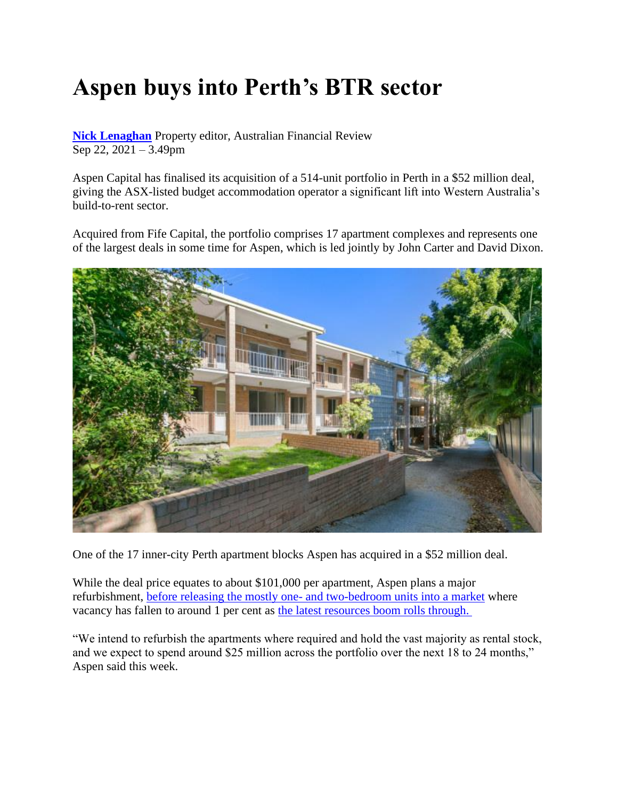## **Aspen buys into Perth's BTR sector**

**[Nick Lenaghan](https://www.afr.com/by/nick-lenaghan-j7gcq)** Property editor, Australian Financial Review Sep 22, 2021 – 3.49pm

Aspen Capital has finalised its acquisition of a 514-unit portfolio in Perth in a \$52 million deal, giving the ASX-listed budget accommodation operator a significant lift into Western Australia's build-to-rent sector.

Acquired from Fife Capital, the portfolio comprises 17 apartment complexes and represents one of the largest deals in some time for Aspen, which is led jointly by John Carter and David Dixon.



One of the 17 inner-city Perth apartment blocks Aspen has acquired in a \$52 million deal.

While the deal price equates to about \$101,000 per apartment, Aspen plans a major refurbishment, before releasing the mostly one- [and two-bedroom units into a market](https://www.afr.com/property/residential/perth-property-leads-nation-set-for-double-digit-growth-this-year-20210224-p575g3) where vacancy has fallen to around 1 per cent as [the latest resources boom rolls through.](https://www.afr.com/policy/economy/wa-s-budget-surplus-made-in-china-and-canberra-20210908-p58pru)

"We intend to refurbish the apartments where required and hold the vast majority as rental stock, and we expect to spend around \$25 million across the portfolio over the next 18 to 24 months," Aspen said this week.